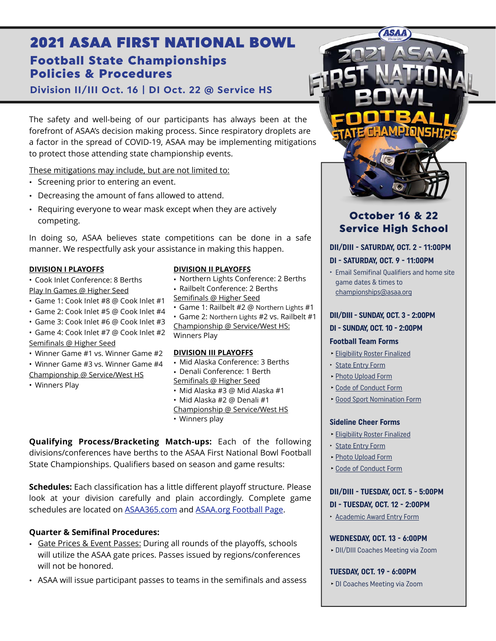# Football State Championships Policies & Procedures 2021 ASAA FIRST NATIONAL BOWL

**Division II/III Oct. 16 | DI Oct. 22 @ Service HS** 

The safety and well-being of our participants has always been at the forefront of ASAA's decision making process. Since respiratory droplets are a factor in the spread of COVID-19, ASAA may be implementing mitigations to protect those attending state championship events.

These mitigations may include, but are not limited to:

- Screening prior to entering an event.
- Decreasing the amount of fans allowed to attend.
- Requiring everyone to wear mask except when they are actively competing.

In doing so, ASAA believes state competitions can be done in a safe manner. We respectfully ask your assistance in making this happen.

#### **DIVISION I PLAYOFFS**

- Cook Inlet Conference: 8 Berths Play In Games @ Higher Seed
- Game 1: Cook Inlet #8 @ Cook Inlet #1
- Game 2: Cook Inlet #5 @ Cook Inlet #4
- Game 3: Cook Inlet #6 @ Cook Inlet #3
- Game 4: Cook Inlet #7 @ Cook Inlet #2 Semifinals @ Higher Seed
- Winner Game #1 vs. Winner Game #2
- Winner Game #3 vs. Winner Game #4
- Championship @ Service/West HS
- Winners Play

#### **DIVISION II PLAYOFFS**

- Northern Lights Conference: 2 Berths
- Railbelt Conference: 2 Berths Semifinals @ Higher Seed
- Game 1: Railbelt #2 @ Northern Lights #1 • Game 2: Northern Lights #2 vs. Railbelt #1

Championship @ Service/West HS: Winners Play

#### **DIVISION III PLAYOFFS**

- Mid Alaska Conference: 3 Berths • Denali Conference: 1 Berth
- Semifinals @ Higher Seed
- Mid Alaska #3 @ Mid Alaska #1
- Mid Alaska #2 @ Denali #1 Championship @ Service/West HS • Winners play

**Qualifying Process/Bracketing Match-ups:** Each of the following divisions/conferences have berths to the ASAA First National Bowl Football State Championships. Qualifiers based on season and game results:

**Schedules:** Each classification has a little different playoff structure. Please look at your division carefully and plain accordingly. Complete game schedules are located on [ASAA365.com](http://asaa365.com) and [ASAA.org Football Page.](https://asaa.org/activities/football/)

# **Quarter & Semifinal Procedures:**

- Gate Prices & Event Passes: During all rounds of the playoffs, schools will utilize the ASAA gate prices. Passes issued by regions/conferences will not be honored.
- ASAA will issue participant passes to teams in the semifinals and assess



# October 16 & 22 Service High School

#### **DII/DIII - SATURDAY, OCT. 2 - 11:00PM**

#### **DI - SATURDAY, OCT. 9 - 11:00PM**

‣ Email Semifinal Qualifiers and home site game dates & times to [championships@asaa.org](mailto:championships@asaa.org)

#### **DII/DIII - SUNDAY, OCT. 3 - 2:00PM**

#### **DI - SUNDAY, OCT. 10 - 2:00PM**

#### **Football Team Forms**

- **‣**[Eligibility Roster Finalized](http://asaa.org/activities/football/football-coaches/football-forms/)
- ‣ [State Entry Form](http://asaa.org/activities/football/football-coaches/football-forms/)
- **‣**[Photo Upload Form](http://asaa.org/activities/football/football-coaches/football-forms/)
- **‣**[Code of Conduct Form](http://asaa.org/activities/football/football-coaches/football-forms/)
- **Good Sport [Nomination Form](http://asaa.org/activities/football/football-coaches/football-forms/)**

#### **Sideline Cheer Forms**

- **‣**[Eligibility Roster Finalized](http://asaa.org/activities/cheer/cheer-coaches/cheer-forms/)
- ‣ [State Entry Form](http://asaa.org/activities/cheer/cheer-coaches/cheer-forms/)
- **‣**[Photo Upload Form](http://asaa.org/activities/cheer/cheer-coaches/cheer-forms/)
- **‣**[Code of Conduct Form](http://asaa.org/activities/cheer/cheer-coaches/cheer-forms/)

# **DII/DIII - TUESDAY, OCT. 5 - 5:00PM DI - TUESDAY, OCT. 12 - 2:00PM**

‣ [Academic Award Entry Form](http://asaa.org/sports/football/football-forms/)

#### **WEDNESDAY, OCT. 13 - 6:00PM**

**‣**DII/DIII Coaches Meeting via Zoom

**TUESDAY, OCT. 19 - 6:00PM**

**‣**DI Coaches Meeting via Zoom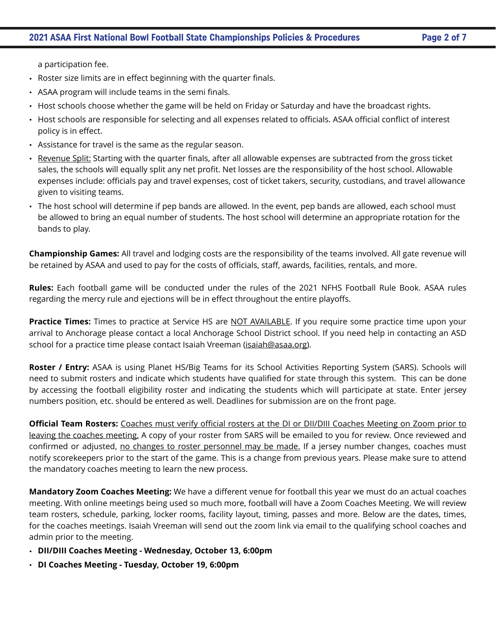a participation fee.

- Roster size limits are in effect beginning with the quarter finals.
- ASAA program will include teams in the semi finals.
- Host schools choose whether the game will be held on Friday or Saturday and have the broadcast rights.
- Host schools are responsible for selecting and all expenses related to officials. ASAA official conflict of interest policy is in effect.
- Assistance for travel is the same as the regular season.
- Revenue Split: Starting with the quarter finals, after all allowable expenses are subtracted from the gross ticket sales, the schools will equally split any net profit. Net losses are the responsibility of the host school. Allowable expenses include: officials pay and travel expenses, cost of ticket takers, security, custodians, and travel allowance given to visiting teams.
- The host school will determine if pep bands are allowed. In the event, pep bands are allowed, each school must be allowed to bring an equal number of students. The host school will determine an appropriate rotation for the bands to play.

**Championship Games:** All travel and lodging costs are the responsibility of the teams involved. All gate revenue will be retained by ASAA and used to pay for the costs of officials, staff, awards, facilities, rentals, and more.

**Rules:** Each football game will be conducted under the rules of the 2021 NFHS Football Rule Book. ASAA rules regarding the mercy rule and ejections will be in effect throughout the entire playoffs.

**Practice Times:** Times to practice at Service HS are NOT AVAILABLE. If you require some practice time upon your arrival to Anchorage please contact a local Anchorage School District school. If you need help in contacting an ASD school for a practice time please contact Isaiah Vreeman [\(isaiah@asaa.org\)](mailto:isaiah@asaa.org).

**Roster / Entry:** ASAA is using Planet HS/Big Teams for its School Activities Reporting System (SARS). Schools will need to submit rosters and indicate which students have qualified for state through this system. This can be done by accessing the football eligibility roster and indicating the students which will participate at state. Enter jersey numbers position, etc. should be entered as well. Deadlines for submission are on the front page.

**Official Team Rosters:** Coaches must verify official rosters at the DI or DII/DIII Coaches Meeting on Zoom prior to leaving the coaches meeting. A copy of your roster from SARS will be emailed to you for review. Once reviewed and confirmed or adjusted, no changes to roster personnel may be made. If a jersey number changes, coaches must notify scorekeepers prior to the start of the game. This is a change from previous years. Please make sure to attend the mandatory coaches meeting to learn the new process.

**Mandatory Zoom Coaches Meeting:** We have a different venue for football this year we must do an actual coaches meeting. With online meetings being used so much more, football will have a Zoom Coaches Meeting. We will review team rosters, schedule, parking, locker rooms, facility layout, timing, passes and more. Below are the dates, times, for the coaches meetings. Isaiah Vreeman will send out the zoom link via email to the qualifying school coaches and admin prior to the meeting.

- **DII/DIII Coaches Meeting Wednesday, October 13, 6:00pm**
- **DI Coaches Meeting Tuesday, October 19, 6:00pm**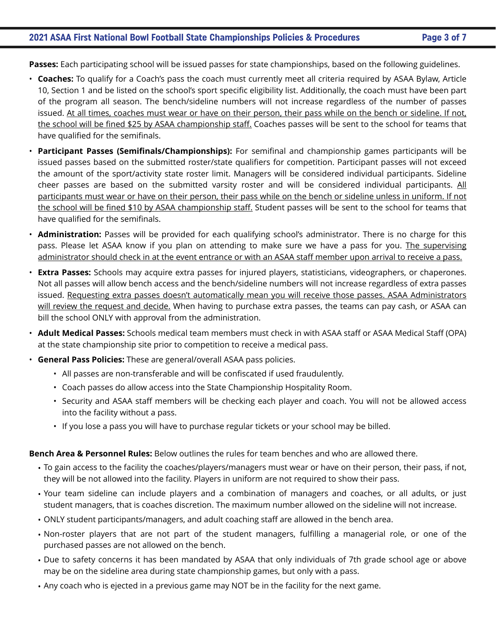## **2021 ASAA First National Bowl Football State Championships Policies & Procedures Page 3 of 7**

**Passes:** Each participating school will be issued passes for state championships, based on the following guidelines.

- **Coaches:** To qualify for a Coach's pass the coach must currently meet all criteria required by ASAA Bylaw, Article 10, Section 1 and be listed on the school's sport specific eligibility list. Additionally, the coach must have been part of the program all season. The bench/sideline numbers will not increase regardless of the number of passes issued. At all times, coaches must wear or have on their person, their pass while on the bench or sideline. If not, the school will be fined \$25 by ASAA championship staff. Coaches passes will be sent to the school for teams that have qualified for the semifinals.
- **Participant Passes (Semifinals/Championships):** For semifinal and championship games participants will be issued passes based on the submitted roster/state qualifiers for competition. Participant passes will not exceed the amount of the sport/activity state roster limit. Managers will be considered individual participants. Sideline cheer passes are based on the submitted varsity roster and will be considered individual participants. All participants must wear or have on their person, their pass while on the bench or sideline unless in uniform. If not the school will be fined \$10 by ASAA championship staff. Student passes will be sent to the school for teams that have qualified for the semifinals.
- **Administration:** Passes will be provided for each qualifying school's administrator. There is no charge for this pass. Please let ASAA know if you plan on attending to make sure we have a pass for you. The supervising administrator should check in at the event entrance or with an ASAA staff member upon arrival to receive a pass.
- **Extra Passes:** Schools may acquire extra passes for injured players, statisticians, videographers, or chaperones. Not all passes will allow bench access and the bench/sideline numbers will not increase regardless of extra passes issued. Requesting extra passes doesn't automatically mean you will receive those passes. ASAA Administrators will review the request and decide. When having to purchase extra passes, the teams can pay cash, or ASAA can bill the school ONLY with approval from the administration.
- **Adult Medical Passes:** Schools medical team members must check in with ASAA staff or ASAA Medical Staff (OPA) at the state championship site prior to competition to receive a medical pass.
- **General Pass Policies:** These are general/overall ASAA pass policies.
	- All passes are non-transferable and will be confiscated if used fraudulently.
	- Coach passes do allow access into the State Championship Hospitality Room.
	- Security and ASAA staff members will be checking each player and coach. You will not be allowed access into the facility without a pass.
	- If you lose a pass you will have to purchase regular tickets or your school may be billed.

#### **Bench Area & Personnel Rules:** Below outlines the rules for team benches and who are allowed there.

- To gain access to the facility the coaches/players/managers must wear or have on their person, their pass, if not, they will be not allowed into the facility. Players in uniform are not required to show their pass.
- Your team sideline can include players and a combination of managers and coaches, or all adults, or just student managers, that is coaches discretion. The maximum number allowed on the sideline will not increase.
- ONLY student participants/managers, and adult coaching staff are allowed in the bench area.
- Non-roster players that are not part of the student managers, fulfilling a managerial role, or one of the purchased passes are not allowed on the bench.
- Due to safety concerns it has been mandated by ASAA that only individuals of 7th grade school age or above may be on the sideline area during state championship games, but only with a pass.
- Any coach who is ejected in a previous game may NOT be in the facility for the next game.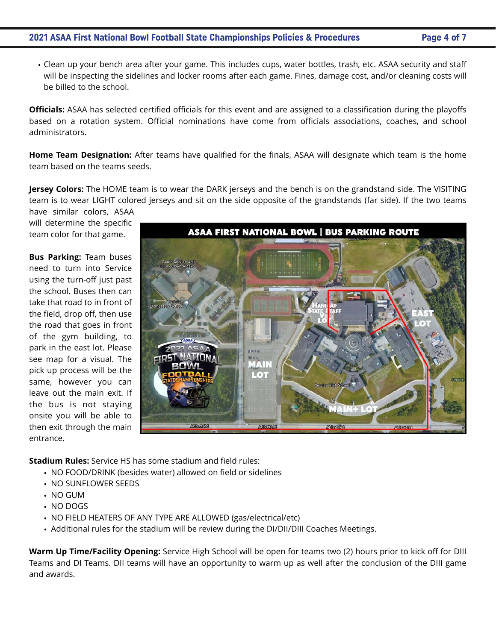## **2021 ASAA First National Bowl Football State Championships Policies & Procedures Page 4 of 7**

• Clean up your bench area after your game. This includes cups, water bottles, trash, etc. ASAA security and staff will be inspecting the sidelines and locker rooms after each game. Fines, damage cost, and/or cleaning costs will be billed to the school.

**Officials:** ASAA has selected certified officials for this event and are assigned to a classification during the playoffs based on a rotation system. Official nominations have come from officials associations, coaches, and school administrators.

**Home Team Designation:** After teams have qualified for the finals, ASAA will designate which team is the home team based on the teams seeds.

**Jersey Colors:** The HOME team is to wear the DARK jerseys and the bench is on the grandstand side. The VISITING team is to wear LIGHT colored jerseys and sit on the side opposite of the grandstands (far side). If the two teams

have similar colors, ASAA will determine the specific team color for that game.

**Bus Parking:** Team buses need to turn into Service using the turn-off just past the school. Buses then can take that road to in front of the field, drop off, then use the road that goes in front of the gym building, to park in the east lot. Please see map for a visual. The pick up process will be the same, however you can leave out the main exit. If the bus is not staying onsite you will be able to then exit through the main entrance.

**ASAA FIRST NATIONAL BOWL | BUS PARKING ROUTE** 

**Stadium Rules:** Service HS has some stadium and field rules:

- NO FOOD/DRINK (besides water) allowed on field or sidelines
- NO SUNFLOWER SEEDS
- NO GUM
- NO DOGS
- NO FIELD HEATERS OF ANY TYPE ARE ALLOWED (gas/electrical/etc)
- Additional rules for the stadium will be review during the DI/DII/DIII Coaches Meetings.

**Warm Up Time/Facility Opening:** Service High School will be open for teams two (2) hours prior to kick off for DIII Teams and DI Teams. DII teams will have an opportunity to warm up as well after the conclusion of the DIII game and awards.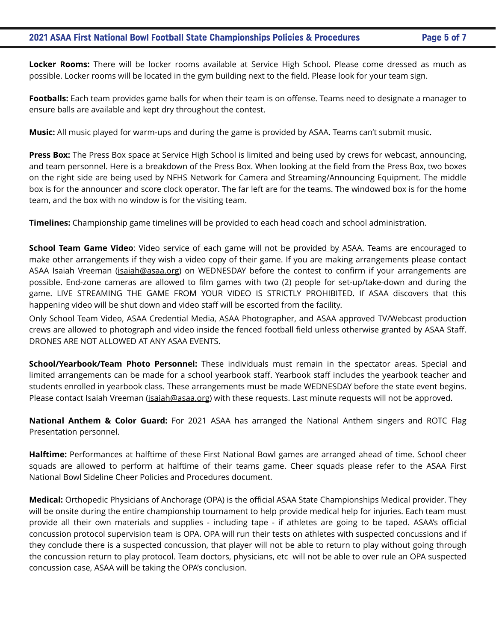**Locker Rooms:** There will be locker rooms available at Service High School. Please come dressed as much as possible. Locker rooms will be located in the gym building next to the field. Please look for your team sign.

**Footballs:** Each team provides game balls for when their team is on offense. Teams need to designate a manager to ensure balls are available and kept dry throughout the contest.

**Music:** All music played for warm-ups and during the game is provided by ASAA. Teams can't submit music.

**Press Box:** The Press Box space at Service High School is limited and being used by crews for webcast, announcing, and team personnel. Here is a breakdown of the Press Box. When looking at the field from the Press Box, two boxes on the right side are being used by NFHS Network for Camera and Streaming/Announcing Equipment. The middle box is for the announcer and score clock operator. The far left are for the teams. The windowed box is for the home team, and the box with no window is for the visiting team.

**Timelines:** Championship game timelines will be provided to each head coach and school administration.

School Team Game Video: Video service of each game will not be provided by ASAA. Teams are encouraged to make other arrangements if they wish a video copy of their game. If you are making arrangements please contact ASAA Isaiah Vreeman [\(isaiah@asaa.org](mailto:isaiah@asaa.org)) on WEDNESDAY before the contest to confirm if your arrangements are possible. End-zone cameras are allowed to film games with two (2) people for set-up/take-down and during the game. LIVE STREAMING THE GAME FROM YOUR VIDEO IS STRICTLY PROHIBITED. If ASAA discovers that this happening video will be shut down and video staff will be escorted from the facility.

Only School Team Video, ASAA Credential Media, ASAA Photographer, and ASAA approved TV/Webcast production crews are allowed to photograph and video inside the fenced football field unless otherwise granted by ASAA Staff. DRONES ARE NOT ALLOWED AT ANY ASAA EVENTS.

**School/Yearbook/Team Photo Personnel:** These individuals must remain in the spectator areas. Special and limited arrangements can be made for a school yearbook staff. Yearbook staff includes the yearbook teacher and students enrolled in yearbook class. These arrangements must be made WEDNESDAY before the state event begins. Please contact Isaiah Vreeman (*isaiah@asaa.org*) with these requests. Last minute requests will not be approved.

**National Anthem & Color Guard:** For 2021 ASAA has arranged the National Anthem singers and ROTC Flag Presentation personnel.

**Halftime:** Performances at halftime of these First National Bowl games are arranged ahead of time. School cheer squads are allowed to perform at halftime of their teams game. Cheer squads please refer to the ASAA First National Bowl Sideline Cheer Policies and Procedures document.

**Medical:** Orthopedic Physicians of Anchorage (OPA) is the official ASAA State Championships Medical provider. They will be onsite during the entire championship tournament to help provide medical help for injuries. Each team must provide all their own materials and supplies - including tape - if athletes are going to be taped. ASAA's official concussion protocol supervision team is OPA. OPA will run their tests on athletes with suspected concussions and if they conclude there is a suspected concussion, that player will not be able to return to play without going through the concussion return to play protocol. Team doctors, physicians, etc will not be able to over rule an OPA suspected concussion case, ASAA will be taking the OPA's conclusion.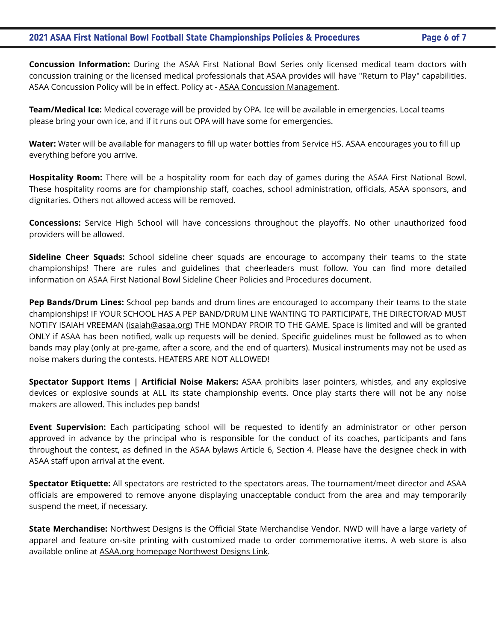**Concussion Information:** During the ASAA First National Bowl Series only licensed medical team doctors with concussion training or the licensed medical professionals that ASAA provides will have "Return to Play" capabilities. ASAA Concussion Policy will be in effect. Policy at - [ASAA Concussion Management](http://asaa.org/resources/sports-medicine/concussion-management/).

**Team/Medical Ice:** Medical coverage will be provided by OPA. Ice will be available in emergencies. Local teams please bring your own ice, and if it runs out OPA will have some for emergencies.

**Water:** Water will be available for managers to fill up water bottles from Service HS. ASAA encourages you to fill up everything before you arrive.

**Hospitality Room:** There will be a hospitality room for each day of games during the ASAA First National Bowl. These hospitality rooms are for championship staff, coaches, school administration, officials, ASAA sponsors, and dignitaries. Others not allowed access will be removed.

**Concessions:** Service High School will have concessions throughout the playoffs. No other unauthorized food providers will be allowed.

**Sideline Cheer Squads:** School sideline cheer squads are encourage to accompany their teams to the state championships! There are rules and guidelines that cheerleaders must follow. You can find more detailed information on ASAA First National Bowl Sideline Cheer Policies and Procedures document.

**Pep Bands/Drum Lines:** School pep bands and drum lines are encouraged to accompany their teams to the state championships! IF YOUR SCHOOL HAS A PEP BAND/DRUM LINE WANTING TO PARTICIPATE, THE DIRECTOR/AD MUST NOTIFY ISAIAH VREEMAN (*isaiah@asaa.org*) THE MONDAY PROIR TO THE GAME. Space is limited and will be granted ONLY if ASAA has been notified, walk up requests will be denied. Specific guidelines must be followed as to when bands may play (only at pre-game, after a score, and the end of quarters). Musical instruments may not be used as noise makers during the contests. HEATERS ARE NOT ALLOWED!

**Spectator Support Items | Artificial Noise Makers:** ASAA prohibits laser pointers, whistles, and any explosive devices or explosive sounds at ALL its state championship events. Once play starts there will not be any noise makers are allowed. This includes pep bands!

**Event Supervision:** Each participating school will be requested to identify an administrator or other person approved in advance by the principal who is responsible for the conduct of its coaches, participants and fans throughout the contest, as defined in the ASAA bylaws Article 6, Section 4. Please have the designee check in with ASAA staff upon arrival at the event.

**Spectator Etiquette:** All spectators are restricted to the spectators areas. The tournament/meet director and ASAA officials are empowered to remove anyone displaying unacceptable conduct from the area and may temporarily suspend the meet, if necessary.

**State Merchandise:** Northwest Designs is the Official State Merchandise Vendor. NWD will have a large variety of apparel and feature on-site printing with customized made to order commemorative items. A web store is also available online at [ASAA.org homepage Northwest Designs Link](https://nwd.ink/s/asaastore/).